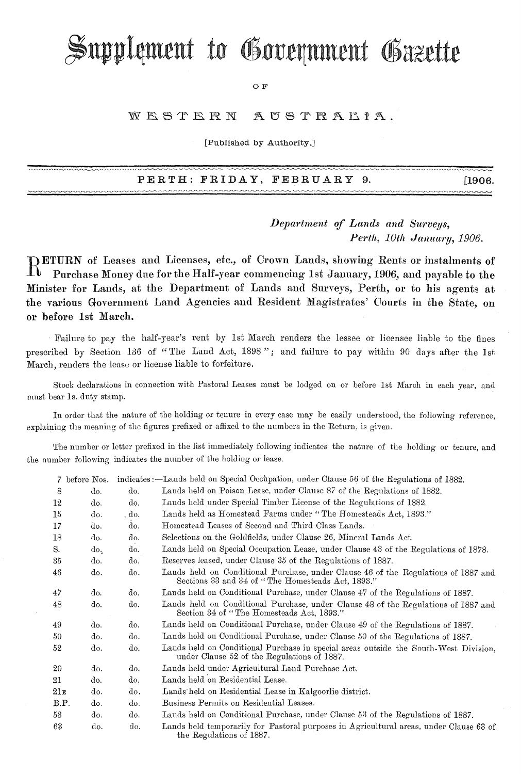# Supplement to Government Gazette

OF

#### WESTERN  $A$ USTRALPA.

[Published by Authority.]

PERTH: FRIDAY, FEBRUARY 9. [1906.

*Department of Lands and Surveys, Perth, 10th January, 1906.* 

 $\mathbb{R}^n$  Purchase Money due for the Half-vear commencing 1st January, 1906, and payable to the Purchase Money due for the Half-year commeneing 1st January, 1906, and payable to the Minister for Lands, at the Department of Lands and Surveys, Perth, or to his agents at the various Government Land Agencies and Resident Magistrates' Courts in the State, on or before 1st March.

Failure to pay the half-year's rent by 1st March renders the lessee or licensee liable to the fines prescribed by Section 136 of "The Land Act, 1898"; and failure to pay within 90 days after the 1st. March, renders the lease or license liable to forfeiture.

Stock declarations in connection with Pastoral Leases must be lodged on or before 1st March in each year, and must bear 1s. duty stamp.

In order that the nature of the holding or tenure in every case may be easily understood, the following reference, explaining the meaning of the figures prefixed or affixed to the numbers in the Return, is given.

The number or letter prefixed in the list immediately following indicates the nature of the holding or tenure, and the number following indicates the number of the holding or lease.

|        | 7 before Nos. |                | indicates:—Lands held on Special Occupation, under Clause 56 of the Regulations of 1882.                                                |
|--------|---------------|----------------|-----------------------------------------------------------------------------------------------------------------------------------------|
| 8      | do.           | do.            | Lands held on Poison Lease, under Clause 87 of the Regulations of 1882.                                                                 |
| 12     | do.           | do.            | Lands held under Special Timber License of the Regulations of 1882.                                                                     |
| $15\,$ | do.           | $_{\circ}$ do. | Lands held as Homestead Farms under "The Homesteads Act, 1893."                                                                         |
| 17     | do.           | do.            | Homestead Leases of Second and Third Class Lands.                                                                                       |
| 18     | do.           | do.            | Selections on the Goldfields, under Clause 26, Mineral Lands Act.                                                                       |
| S.     | do.           | do.            | Lands held on Special Occupation Lease, under Clause 43 of the Regulations of 1878.                                                     |
| 35     | do.           | do.            | Reserves leased, under Clause 35 of the Regulations of 1887.                                                                            |
| 46     | do.           | do.            | Lands held on Conditional Purchase, under Clause 46 of the Regulations of 1887 and<br>Sections 33 and 34 of "The Homesteads Act, 1893." |
| 47     | do.           | do.            | Lands held on Conditional Purchase, under Clause 47 of the Regulations of 1887.                                                         |
| 48     | do.           | do.            | Lands held on Conditional Purchase, under Clause 48 of the Regulations of 1887 and<br>Section 34 of "The Homesteads Act, 1893."         |
| 49     | do.           | do.            | Lands held on Conditional Purchase, under Clause 49 of the Regulations of 1887.                                                         |
| 50.    | do.           | do.            | Lands held on Conditional Purchase, under Clause 50 of the Regulations of 1887.                                                         |
| 52     | do.           | do.            | Lands held on Conditional Purchase in special areas outside the South-West Division,<br>under Clause 52 of the Regulations of 1887.     |
| 20     | do.           | do.            | Lands held under Agricultural Land Purchase Act.                                                                                        |
| 21     | do.           | do.            | Lands held on Residential Lease.                                                                                                        |
| 21 в   | do.           | do.            | Lands held on Residential Lease in Kalgoorlie district.                                                                                 |
| B.P.   | do.           | do.            | Business Permits on Residential Leases.                                                                                                 |
| 53     | do.           | do.            | Lands held on Conditional Purchase, under Clause 53 of the Regulations of 1887.                                                         |
| 63     | do.           | do.            | Lands held temporarily for Pastoral purposes in Agricultural areas, under Clause 63 of<br>the Regulations of 1887.                      |